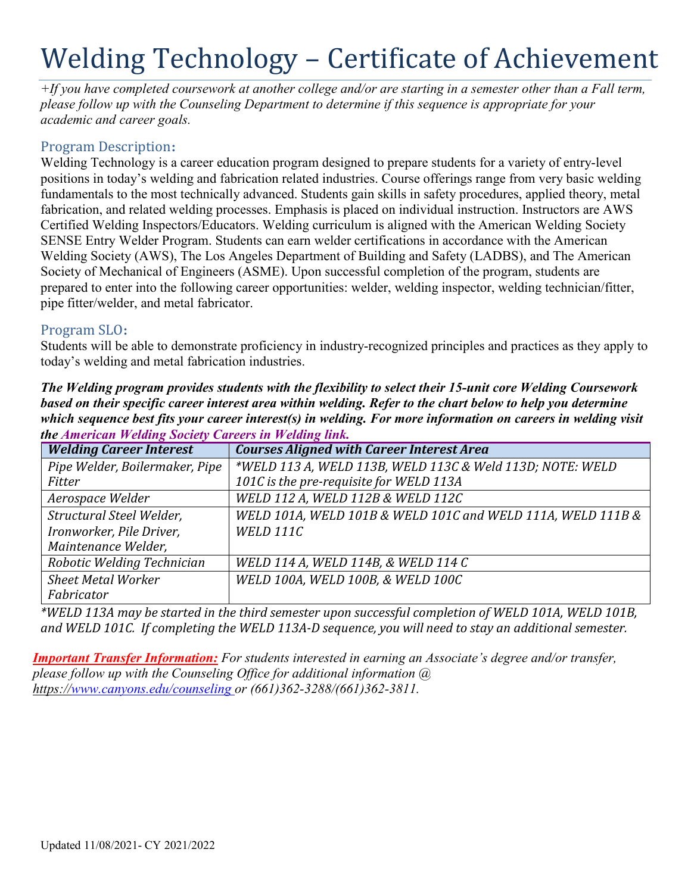# Welding Technology – Certificate of Achievement

*+If you have completed coursework at another college and/or are starting in a semester other than a Fall term, please follow up with the Counseling Department to determine if this sequence is appropriate for your academic and career goals.*

## Program Description**:**

Welding Technology is a career education program designed to prepare students for a variety of entry-level positions in today's welding and fabrication related industries. Course offerings range from very basic welding fundamentals to the most technically advanced. Students gain skills in safety procedures, applied theory, metal fabrication, and related welding processes. Emphasis is placed on individual instruction. Instructors are AWS Certified Welding Inspectors/Educators. Welding curriculum is aligned with the American Welding Society SENSE Entry Welder Program. Students can earn welder certifications in accordance with the American Welding Society (AWS), The Los Angeles Department of Building and Safety (LADBS), and The American Society of Mechanical of Engineers (ASME). Upon successful completion of the program, students are prepared to enter into the following career opportunities: welder, welding inspector, welding technician/fitter, pipe fitter/welder, and metal fabricator.

# Program SLO**:**

Students will be able to demonstrate proficiency in industry-recognized principles and practices as they apply to today's welding and metal fabrication industries.

*The Welding program provides students with the flexibility to select their 15-unit core Welding Coursework based on their specific career interest area within welding. Refer to the chart below to help you determine which sequence best fits your career interest(s) in welding. For more information on careers in welding visit the American Welding Society Careers in Welding link.*

| <b>Welding Career Interest</b> | <b>Courses Aligned with Career Interest Area</b>            |
|--------------------------------|-------------------------------------------------------------|
| Pipe Welder, Boilermaker, Pipe | *WELD 113 A, WELD 113B, WELD 113C & Weld 113D; NOTE: WELD   |
| Fitter                         | 101C is the pre-requisite for WELD 113A                     |
| Aerospace Welder               | WELD 112 A, WELD 112B & WELD 112C                           |
| Structural Steel Welder,       | WELD 101A, WELD 101B & WELD 101C and WELD 111A, WELD 111B & |
| Ironworker, Pile Driver,       | <b>WELD 111C</b>                                            |
| Maintenance Welder,            |                                                             |
| Robotic Welding Technician     | WELD 114 A, WELD 114B, & WELD 114 C                         |
| <b>Sheet Metal Worker</b>      | WELD 100A, WELD 100B, & WELD 100C                           |
| Fabricator                     |                                                             |

*\*WELD 113A may be started in the third semester upon successful completion of WELD 101A, WELD 101B, and WELD 101C. If completing the WELD 113A-D sequence, you will need to stay an additional semester.*

*Important Transfer Information: For students interested in earning an Associate's degree and/or transfer, please follow up with the Counseling Office for additional information @ https:/[/www.canyons.edu/counseling o](http://www.canyons.edu/counseling)r (661)362-3288/(661)362-3811.*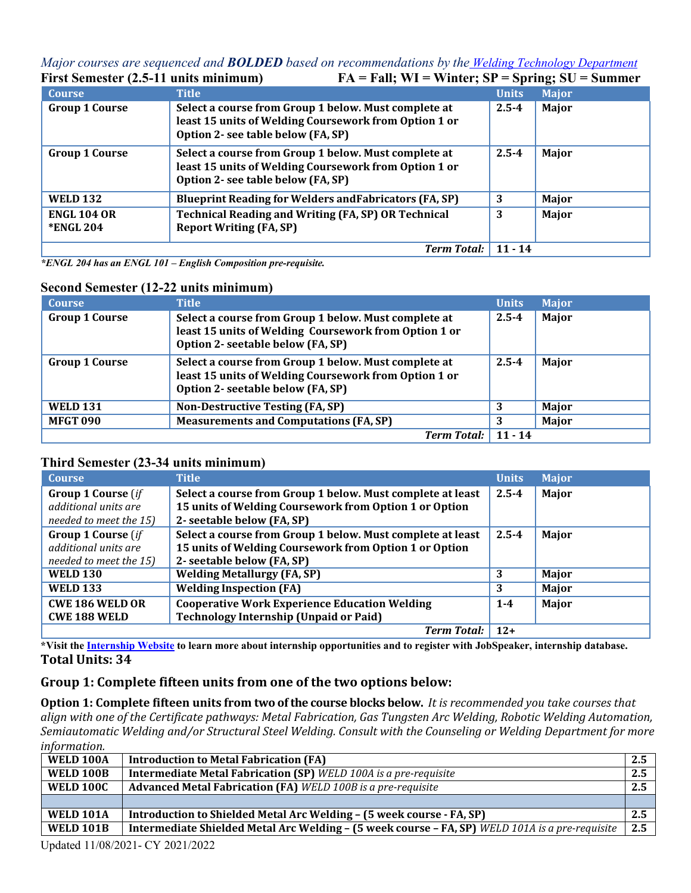#### *Major courses are sequenced and <i>BOLDED* based on recommendations by the <u>[Welding Technology Department](https://www.canyons.edu/academics/welding/)</u><br>**FA** = **Fall:** WI = Winter: SP = Spring: SU = Summer  $FA = Fall: WI = Winter: SP = Spring: SU = Summer$

| <b>Course</b>         | <b>Title</b>                                                                                                                                        | <b>Units</b> | $\sim$       |
|-----------------------|-----------------------------------------------------------------------------------------------------------------------------------------------------|--------------|--------------|
|                       |                                                                                                                                                     |              | <b>Major</b> |
| <b>Group 1 Course</b> | Select a course from Group 1 below. Must complete at<br>least 15 units of Welding Coursework from Option 1 or                                       | $2.5 - 4$    | Major        |
|                       | Option 2- see table below (FA, SP)                                                                                                                  |              |              |
| <b>Group 1 Course</b> | Select a course from Group 1 below. Must complete at<br>least 15 units of Welding Coursework from Option 1 or<br>Option 2- see table below (FA, SP) | $2.5 - 4$    | Major        |
| <b>WELD 132</b>       | <b>Blueprint Reading for Welders and Fabricators (FA, SP)</b>                                                                                       | 3            | Major        |
| <b>ENGL 104 OR</b>    | <b>Technical Reading and Writing (FA, SP) OR Technical</b>                                                                                          | 3            | Major        |
| <b>*ENGL 204</b>      | <b>Report Writing (FA, SP)</b>                                                                                                                      |              |              |
|                       | <b>Term Total:</b>                                                                                                                                  | $11 - 14$    |              |

*\*ENGL 204 has an ENGL 101 – English Composition pre-requisite.*

## **Second Semester (12-22 units minimum)**

| <b>Course</b>         | <b>Title</b>                                                                                                                                       | <b>Units</b> | <b>Major</b> |
|-----------------------|----------------------------------------------------------------------------------------------------------------------------------------------------|--------------|--------------|
| <b>Group 1 Course</b> | Select a course from Group 1 below. Must complete at<br>least 15 units of Welding Coursework from Option 1 or<br>Option 2- seetable below (FA, SP) | $2.5 - 4$    | Major        |
| <b>Group 1 Course</b> | Select a course from Group 1 below. Must complete at<br>least 15 units of Welding Coursework from Option 1 or<br>Option 2- seetable below (FA, SP) | $2.5 - 4$    | Major        |
| <b>WELD 131</b>       | Non-Destructive Testing (FA, SP)                                                                                                                   |              | Major        |
| <b>MFGT 090</b>       | <b>Measurements and Computations (FA, SP)</b>                                                                                                      |              | Major        |
|                       | <b>Term Total:</b>                                                                                                                                 | $11 - 14$    |              |

## **Third Semester (23-34 units minimum)**

| <b>Course</b>             | <b>Title</b>                                               | <b>Units</b> | <b>Major</b> |
|---------------------------|------------------------------------------------------------|--------------|--------------|
| <b>Group 1 Course</b> (if | Select a course from Group 1 below. Must complete at least | $2.5 - 4$    | Major        |
| additional units are      | 15 units of Welding Coursework from Option 1 or Option     |              |              |
| needed to meet the 15)    | 2- seetable below (FA, SP)                                 |              |              |
| <b>Group 1 Course</b> (if | Select a course from Group 1 below. Must complete at least | $2.5 - 4$    | Major        |
| additional units are      | 15 units of Welding Coursework from Option 1 or Option     |              |              |
| needed to meet the 15)    | 2- seetable below (FA, SP)                                 |              |              |
| <b>WELD 130</b>           | <b>Welding Metallurgy (FA, SP)</b>                         | 3            | Major        |
| <b>WELD 133</b>           | <b>Welding Inspection (FA)</b>                             | 3            | Major        |
| <b>CWE 186 WELD OR</b>    | <b>Cooperative Work Experience Education Welding</b>       | $1 - 4$      | Major        |
| <b>CWE 188 WELD</b>       | <b>Technology Internship (Unpaid or Paid)</b>              |              |              |
|                           | <b>Term Total:</b>                                         | $12+$        |              |

\*Visit the Internship Website to learn more about internship opportunities and to register with JobSpeaker, internship database. **Total Units: 34**

## **Group 1: Complete fifteen units from one of the two options below:**

**Option 1: Complete fifteen units from two of the course blocks below.** *It is recommended you take courses that align with one of the Certificate pathways: Metal Fabrication, Gas Tungsten Arc Welding, Robotic Welding Automation, Semiautomatic Welding and/or Structural Steel Welding. Consult with the Counseling or Welding Department for more information.*

| WELD 100A        | <b>Introduction to Metal Fabrication (FA)</b>                                                   | 2.5 |
|------------------|-------------------------------------------------------------------------------------------------|-----|
| <b>WELD 100B</b> | <b>Intermediate Metal Fabrication (SP)</b> WELD 100A is a pre-requisite                         | 2.5 |
| <b>WELD 100C</b> | <b>Advanced Metal Fabrication (FA)</b> WELD 100B is a pre-requisite                             | 2.5 |
|                  |                                                                                                 |     |
| <b>WELD 101A</b> | Introduction to Shielded Metal Arc Welding - (5 week course - FA, SP)                           | 2.5 |
| <b>WELD 101B</b> | Intermediate Shielded Metal Arc Welding - (5 week course - FA, SP) WELD 101A is a pre-requisite | 2.5 |
|                  |                                                                                                 |     |